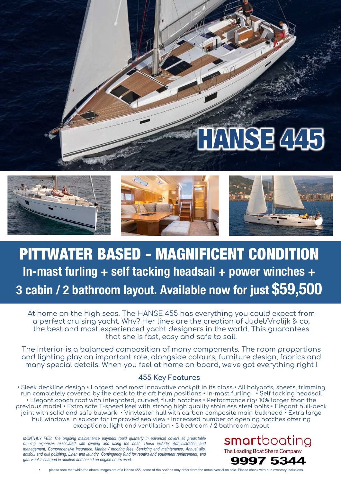# HANSE 445



## PITTWATER BASED - MAGNIFICENT CONDITION **In-mast furling + self tacking headsail + power winches + 3 cabin / 2 bathroom layout. Available now for just \$59,500**

At home on the high seas. The HANSE 455 has everything you could expect from a perfect cruising yacht. Why? Her lines are the creation of Judel/Vrolijk & co, the best and most experienced yacht designers in the world. This guarantees that she is fast, easy and safe to sail.

The interior is a balanced composition of many components. The room proportions and lighting play an important role, alongside colours, furniture design, fabrics and many special details. When you feel at home on board, we've got everything right !

#### **455 Key Features**

• Sleek deckline design • Largest and most innovative cockpit in its class • All halyards, sheets, trimming run completely covered by the deck to the aft helm positions • In-mast furling • Self tacking headsail • Elegant coach roof with integrated, curved, flush hatches • Performance rig• 10% larger than the previous model • Extra safe T-speed keel with strong high quality stainless steel bolts • Elegant hull-deck joint with solid and safe bulwark • Vinylester hull with carbon composite main bulkhead • Extra large hull windows in saloon for improved sea view • Increased number of opening hatches offering exceptional light and ventilation • 3 bedroom / 2 bathroom layout

*MONTHLY FEE: The ongoing maintenance payment (paid quarterly in advance) covers all predictable running expenses associated with owning and using the boat. These include: Administration and management, Comprehensive insurance, Marina / mooring fees, Servicing and maintenance, Annual slip, antifoul and hull polishing, Linen and laundry, Contingency fund for repairs and equipment replacement, and gas. Fuel is charged in addition and based on engine hours used.*

smartboating The Leading Boat Share Company



please note that while the above images are of a Hanse 455, some of the options may differ from the actual vessel on sale. Please check with our inventory inclusions